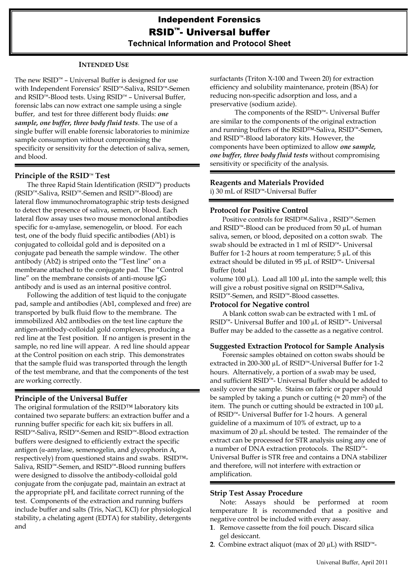# **INTENDED USE**

The new RSID™ – Universal Buffer is designed for use with Independent Forensics' RSID™-Saliva, RSID™-Semen and RSID™-Blood tests. Using RSID™ – Universal Buffer, forensic labs can now extract one sample using a single buffer, and test for three different body fluids: *one sample, one buffer, three body fluid tests*. The use of a single buffer will enable forensic laboratories to minimize sample consumption without compromising the specificity or sensitivity for the detection of saliva, semen, and blood.

# **Principle of the RSID**™ **Test**

The three Rapid Stain Identification (RSID™) products (RSID™-Saliva, RSID™-Semen and RSID™-Blood) are lateral flow immunochromatographic strip tests designed to detect the presence of saliva, semen, or blood. Each lateral flow assay uses two mouse monoclonal antibodies specific for  $\alpha$ -amylase, semenogelin, or blood. For each test, one of the body fluid specific antibodies (Ab1) is conjugated to colloidal gold and is deposited on a conjugate pad beneath the sample window. The other antibody (Ab2) is striped onto the "Test line" on a membrane attached to the conjugate pad. The "Control line" on the membrane consists of anti-mouse IgG antibody and is used as an internal positive control.

Following the addition of test liquid to the conjugate pad, sample and antibodies (Ab1, complexed and free) are transported by bulk fluid flow to the membrane. The immobilized Ab2 antibodies on the test line capture the antigen-antibody-colloidal gold complexes, producing a red line at the Test position. If no antigen is present in the sample, no red line will appear. A red line should appear at the Control position on each strip. This demonstrates that the sample fluid was transported through the length of the test membrane, and that the components of the test are working correctly.

# **Principle of the Universal Buffer**

The original formulation of the RSID™ laboratory kits contained two separate buffers: an extraction buffer and a running buffer specific for each kit; six buffers in all. RSID™-Saliva, RSID™-Semen and RSID™-Blood extraction buffers were designed to efficiently extract the specific antigen ( $\alpha$ -amylase, semenogelin, and glycophorin A, respectively) from questioned stains and swabs. RSID™- Saliva, RSID™-Semen, and RSID™-Blood running buffers were designed to dissolve the antibody-colloidal gold conjugate from the conjugate pad, maintain an extract at the appropriate pH, and facilitate correct running of the test. Components of the extraction and running buffers include buffer and salts (Tris, NaCl, KCl) for physiological stability, a chelating agent (EDTA) for stability, detergents and

surfactants (Triton X-100 and Tween 20) for extraction efficiency and solubility maintenance, protein (BSA) for reducing non-specific adsorption and loss, and a preservative (sodium azide).

 The components of the RSID™- Universal Buffer are similar to the components of the original extraction and running buffers of the RSID™-Saliva, RSID™-Semen, and RSID™-Blood laboratory kits. However, the components have been optimized to allow *one sample, one buffer, three body fluid tests* without compromising sensitivity or specificity of the analysis.

## **Reagents and Materials Provided**  i) 30 mL of RSID™-Universal Buffer

## **Protocol for Positive Control**

Positive controls for RSID™-Saliva , RSID™-Semen and RSID™-Blood can be produced from 50 µL of human saliva, semen, or blood, deposited on a cotton swab. The swab should be extracted in 1 ml of RSID™- Universal Buffer for 1-2 hours at room temperature; 5 µL of this extract should be diluted in 95 µL of RSID™- Universal Buffer (total

volume 100  $\mu$ L). Load all 100  $\mu$ L into the sample well; this will give a robust positive signal on RSID™-Saliva, RSID™-Semen, and RSID™-Blood cassettes.

#### **Protocol for Negative control**

A blank cotton swab can be extracted with 1 mL of RSID™- Universal Buffer and 100 µL of RSID™- Universal Buffer may be added to the cassette as a negative control.

# **Suggested Extraction Protocol for Sample Analysis**

Forensic samples obtained on cotton swabs should be extracted in 200-300 µL of RSID™-Universal Buffer for 1-2 hours. Alternatively, a portion of a swab may be used, and sufficient RSID™- Universal Buffer should be added to easily cover the sample. Stains on fabric or paper should be sampled by taking a punch or cutting ( $\approx$  20 mm<sup>2</sup>) of the item. The punch or cutting should be extracted in 100 µL of RSID™- Universal Buffer for 1-2 hours. A general guideline of a maximum of 10% of extract, up to a maximum of 20  $\mu$ L should be tested. The remainder of the extract can be processed for STR analysis using any one of a number of DNA extraction protocols. The RSID™- Universal Buffer is STR free and contains a DNA stabilizer and therefore, will not interfere with extraction or amplification.

#### **Strip Test Assay Procedure**

Note: Assays should be performed at room temperature It is recommended that a positive and negative control be included with every assay.

- **1**. Remove cassette from the foil pouch. Discard silica gel desiccant.
- **2**. Combine extract aliquot (max of 20 µL) with RSID™-